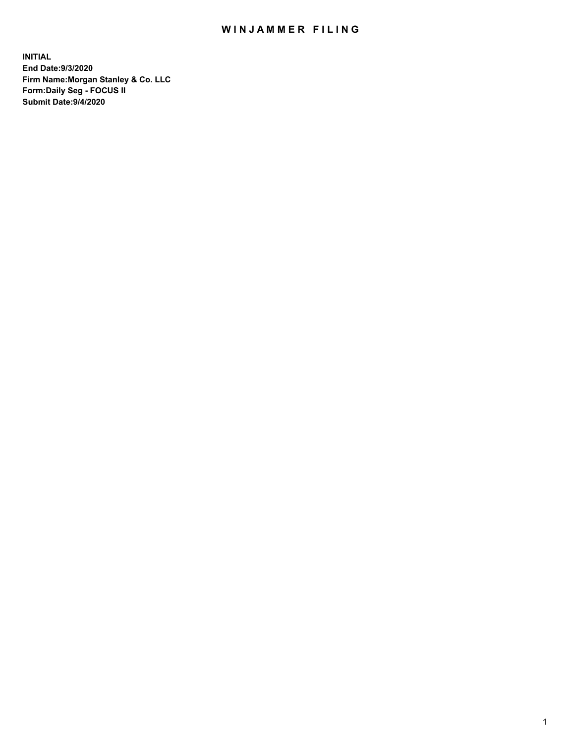## WIN JAMMER FILING

**INITIAL End Date:9/3/2020 Firm Name:Morgan Stanley & Co. LLC Form:Daily Seg - FOCUS II Submit Date:9/4/2020**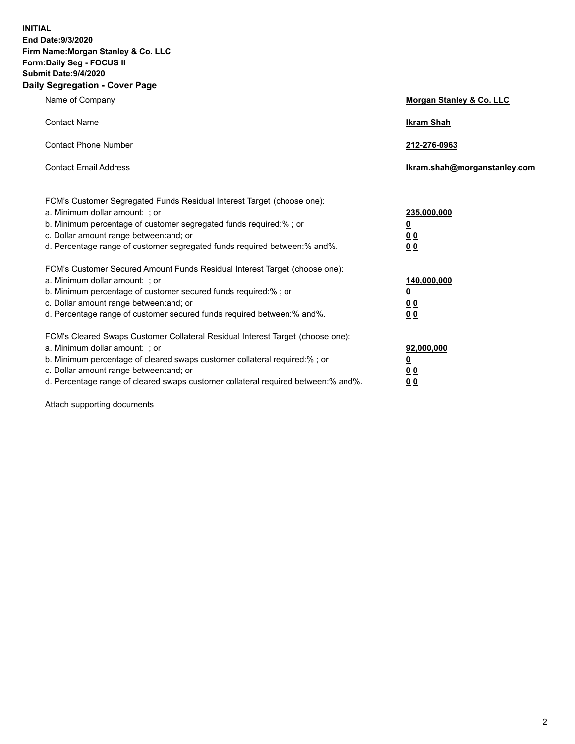**INITIAL End Date:9/3/2020 Firm Name:Morgan Stanley & Co. LLC Form:Daily Seg - FOCUS II Submit Date:9/4/2020 Daily Segregation - Cover Page**

| Name of Company                                                                                                       | Morgan Stanley & Co. LLC     |
|-----------------------------------------------------------------------------------------------------------------------|------------------------------|
| <b>Contact Name</b>                                                                                                   | <b>Ikram Shah</b>            |
| <b>Contact Phone Number</b>                                                                                           | 212-276-0963                 |
| <b>Contact Email Address</b>                                                                                          | lkram.shah@morganstanley.com |
| FCM's Customer Segregated Funds Residual Interest Target (choose one):<br>a. Minimum dollar amount: ; or              | 235,000,000                  |
| b. Minimum percentage of customer segregated funds required:% ; or<br>c. Dollar amount range between: and; or         | <u>0</u><br><u>00</u>        |
| d. Percentage range of customer segregated funds required between: % and %.                                           | 00                           |
| FCM's Customer Secured Amount Funds Residual Interest Target (choose one):                                            |                              |
| a. Minimum dollar amount: : or<br>b. Minimum percentage of customer secured funds required:%; or                      | 140,000,000<br><u>0</u>      |
| c. Dollar amount range between: and; or                                                                               | 0 <sub>0</sub>               |
| d. Percentage range of customer secured funds required between:% and%.                                                | 0 <sub>0</sub>               |
| FCM's Cleared Swaps Customer Collateral Residual Interest Target (choose one):                                        |                              |
| a. Minimum dollar amount: ; or                                                                                        | 92,000,000                   |
| b. Minimum percentage of cleared swaps customer collateral required:% ; or<br>c. Dollar amount range between: and; or | <u>0</u><br>0 Q              |
| d. Percentage range of cleared swaps customer collateral required between:% and%.                                     | 0 <sub>0</sub>               |
|                                                                                                                       |                              |

Attach supporting documents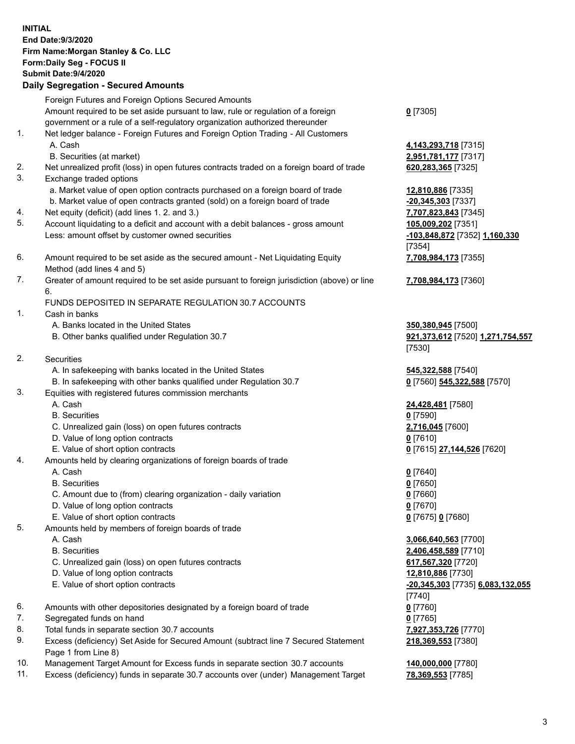|     | <b>INITIAL</b><br>End Date: 9/3/2020<br>Firm Name: Morgan Stanley & Co. LLC<br>Form: Daily Seg - FOCUS II<br><b>Submit Date: 9/4/2020</b><br><b>Daily Segregation - Secured Amounts</b>                                 |                                                        |
|-----|-------------------------------------------------------------------------------------------------------------------------------------------------------------------------------------------------------------------------|--------------------------------------------------------|
|     |                                                                                                                                                                                                                         |                                                        |
|     | Foreign Futures and Foreign Options Secured Amounts<br>Amount required to be set aside pursuant to law, rule or regulation of a foreign<br>government or a rule of a self-regulatory organization authorized thereunder | $Q$ [7305]                                             |
| 1.  | Net ledger balance - Foreign Futures and Foreign Option Trading - All Customers<br>A. Cash<br>B. Securities (at market)                                                                                                 | 4,143,293,718 [7315]<br>2,951,781,177 [7317]           |
| 2.  | Net unrealized profit (loss) in open futures contracts traded on a foreign board of trade                                                                                                                               | 620, 283, 365 [7325]                                   |
| 3.  | Exchange traded options                                                                                                                                                                                                 |                                                        |
|     | a. Market value of open option contracts purchased on a foreign board of trade                                                                                                                                          | 12,810,886 [7335]                                      |
|     | b. Market value of open contracts granted (sold) on a foreign board of trade                                                                                                                                            | $-20,345,303$ [7337]                                   |
| 4.  | Net equity (deficit) (add lines 1. 2. and 3.)                                                                                                                                                                           | 7,707,823,843 [7345]                                   |
| 5.  | Account liquidating to a deficit and account with a debit balances - gross amount                                                                                                                                       | 105,009,202 [7351]                                     |
|     | Less: amount offset by customer owned securities                                                                                                                                                                        | -103,848,872 [7352] 1,160,330                          |
|     |                                                                                                                                                                                                                         | [7354]                                                 |
| 6.  | Amount required to be set aside as the secured amount - Net Liquidating Equity                                                                                                                                          | 7,708,984,173 [7355]                                   |
|     | Method (add lines 4 and 5)                                                                                                                                                                                              |                                                        |
| 7.  | Greater of amount required to be set aside pursuant to foreign jurisdiction (above) or line<br>6.                                                                                                                       | 7,708,984,173 [7360]                                   |
|     | FUNDS DEPOSITED IN SEPARATE REGULATION 30.7 ACCOUNTS                                                                                                                                                                    |                                                        |
| 1.  | Cash in banks                                                                                                                                                                                                           |                                                        |
|     | A. Banks located in the United States<br>B. Other banks qualified under Regulation 30.7                                                                                                                                 | 350,380,945 [7500]<br>921,373,612 [7520] 1,271,754,557 |
| 2.  | <b>Securities</b>                                                                                                                                                                                                       | [7530]                                                 |
|     | A. In safekeeping with banks located in the United States                                                                                                                                                               | 545,322,588 [7540]                                     |
|     | B. In safekeeping with other banks qualified under Regulation 30.7                                                                                                                                                      | 0 [7560] 545,322,588 [7570]                            |
| 3.  | Equities with registered futures commission merchants                                                                                                                                                                   |                                                        |
|     | A. Cash                                                                                                                                                                                                                 | 24,428,481 [7580]                                      |
|     | <b>B.</b> Securities                                                                                                                                                                                                    | $0$ [7590]                                             |
|     | C. Unrealized gain (loss) on open futures contracts                                                                                                                                                                     | 2,716,045 [7600]                                       |
|     | D. Value of long option contracts                                                                                                                                                                                       | $0$ [7610]                                             |
|     | E. Value of short option contracts                                                                                                                                                                                      | 0 [7615] 27,144,526 [7620]                             |
| 4.  | Amounts held by clearing organizations of foreign boards of trade                                                                                                                                                       |                                                        |
|     | A. Cash                                                                                                                                                                                                                 | $0$ [7640]                                             |
|     | <b>B.</b> Securities                                                                                                                                                                                                    | $0$ [7650]                                             |
|     | C. Amount due to (from) clearing organization - daily variation                                                                                                                                                         | $0$ [7660]                                             |
|     | D. Value of long option contracts                                                                                                                                                                                       | $0$ [7670]                                             |
|     | E. Value of short option contracts                                                                                                                                                                                      | 0 [7675] 0 [7680]                                      |
| 5.  | Amounts held by members of foreign boards of trade                                                                                                                                                                      |                                                        |
|     | A. Cash                                                                                                                                                                                                                 | 3,066,640,563 [7700]                                   |
|     | <b>B.</b> Securities                                                                                                                                                                                                    | 2,406,458,589 [7710]                                   |
|     | C. Unrealized gain (loss) on open futures contracts                                                                                                                                                                     | 617,567,320 [7720]                                     |
|     | D. Value of long option contracts                                                                                                                                                                                       | 12,810,886 [7730]                                      |
|     | E. Value of short option contracts                                                                                                                                                                                      | -20,345,303 [7735] 6,083,132,055                       |
|     |                                                                                                                                                                                                                         | [7740]                                                 |
| 6.  | Amounts with other depositories designated by a foreign board of trade                                                                                                                                                  | $0$ [7760]                                             |
| 7.  | Segregated funds on hand                                                                                                                                                                                                | $0$ [7765]                                             |
| 8.  | Total funds in separate section 30.7 accounts                                                                                                                                                                           | 7,927,353,726 [7770]                                   |
| 9.  | Excess (deficiency) Set Aside for Secured Amount (subtract line 7 Secured Statement<br>Page 1 from Line 8)                                                                                                              | 218,369,553 [7380]                                     |
| 10. | Management Target Amount for Excess funds in separate section 30.7 accounts                                                                                                                                             | 140,000,000 [7780]                                     |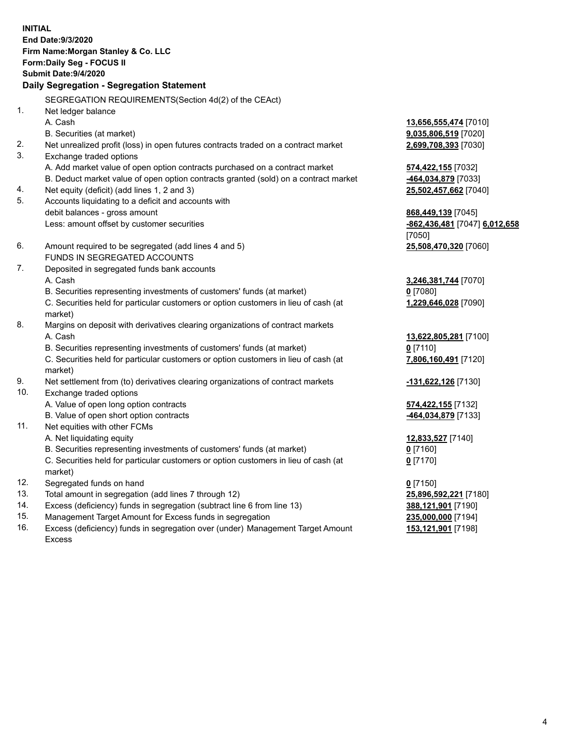|     | <b>INITIAL</b><br>End Date: 9/3/2020<br>Firm Name: Morgan Stanley & Co. LLC<br>Form: Daily Seg - FOCUS II<br>Submit Date: 9/4/2020<br>Daily Segregation - Segregation Statement |                               |
|-----|---------------------------------------------------------------------------------------------------------------------------------------------------------------------------------|-------------------------------|
|     | SEGREGATION REQUIREMENTS(Section 4d(2) of the CEAct)                                                                                                                            |                               |
| 1.  | Net ledger balance                                                                                                                                                              |                               |
|     | A. Cash                                                                                                                                                                         | 13,656,555,474 [7010]         |
|     | B. Securities (at market)                                                                                                                                                       | 9,035,806,519 [7020]          |
| 2.  | Net unrealized profit (loss) in open futures contracts traded on a contract market                                                                                              | 2,699,708,393 [7030]          |
| 3.  | Exchange traded options                                                                                                                                                         |                               |
|     | A. Add market value of open option contracts purchased on a contract market                                                                                                     | 574,422,155 [7032]            |
|     | B. Deduct market value of open option contracts granted (sold) on a contract market                                                                                             | 464,034,879 [7033]            |
| 4.  | Net equity (deficit) (add lines 1, 2 and 3)                                                                                                                                     | 25,502,457,662 [7040]         |
| 5.  | Accounts liquidating to a deficit and accounts with                                                                                                                             |                               |
|     | debit balances - gross amount                                                                                                                                                   | 868,449,139 [7045]            |
|     | Less: amount offset by customer securities                                                                                                                                      | -862,436,481 [7047] 6,012,658 |
|     |                                                                                                                                                                                 | [7050]                        |
| 6.  | Amount required to be segregated (add lines 4 and 5)<br>FUNDS IN SEGREGATED ACCOUNTS                                                                                            | 25,508,470,320 [7060]         |
| 7.  | Deposited in segregated funds bank accounts                                                                                                                                     |                               |
|     | A. Cash                                                                                                                                                                         | 3,246,381,744 [7070]          |
|     | B. Securities representing investments of customers' funds (at market)                                                                                                          | $0$ [7080]                    |
|     | C. Securities held for particular customers or option customers in lieu of cash (at                                                                                             | 1,229,646,028 [7090]          |
|     | market)                                                                                                                                                                         |                               |
| 8.  | Margins on deposit with derivatives clearing organizations of contract markets                                                                                                  |                               |
|     | A. Cash                                                                                                                                                                         | 13,622,805,281 [7100]         |
|     | B. Securities representing investments of customers' funds (at market)                                                                                                          | $0$ [7110]                    |
|     | C. Securities held for particular customers or option customers in lieu of cash (at                                                                                             | 7,806,160,491 [7120]          |
|     | market)                                                                                                                                                                         |                               |
| 9.  | Net settlement from (to) derivatives clearing organizations of contract markets                                                                                                 | -131,622,126 [7130]           |
| 10. | Exchange traded options                                                                                                                                                         |                               |
|     | A. Value of open long option contracts                                                                                                                                          | <b>574,422,155</b> [7132]     |
|     | B. Value of open short option contracts                                                                                                                                         | -464,034,879 [7133]           |
| 11. | Net equities with other FCMs                                                                                                                                                    |                               |
|     | A. Net liquidating equity                                                                                                                                                       | 12,833,527 [7140]             |
|     | B. Securities representing investments of customers' funds (at market)                                                                                                          | $0$ [7160]                    |
|     | C. Securities held for particular customers or option customers in lieu of cash (at                                                                                             | $0$ [7170]                    |
|     | market)                                                                                                                                                                         |                               |
| 12. | Segregated funds on hand                                                                                                                                                        | $0$ [7150]                    |
| 13. | Total amount in segregation (add lines 7 through 12)                                                                                                                            | 25,896,592,221 [7180]         |
| 14. | Excess (deficiency) funds in segregation (subtract line 6 from line 13)                                                                                                         | 388,121,901 [7190]            |
| 15. | Management Target Amount for Excess funds in segregation                                                                                                                        | 235,000,000 [7194]            |
| 16. | Excess (deficiency) funds in segregation over (under) Management Target Amount                                                                                                  | 153,121,901 [7198]            |